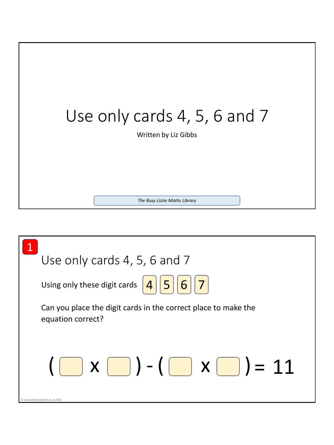

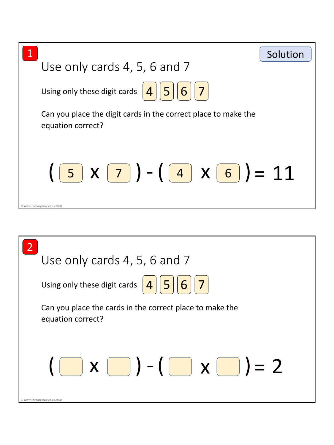

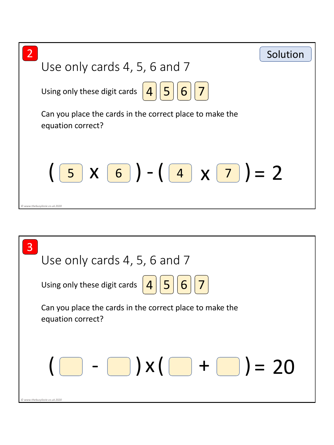

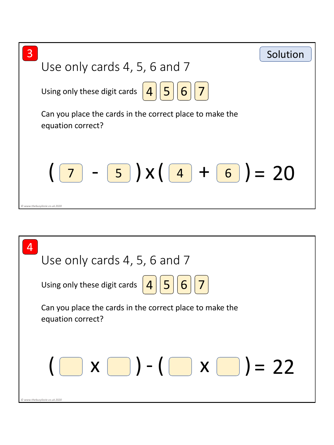

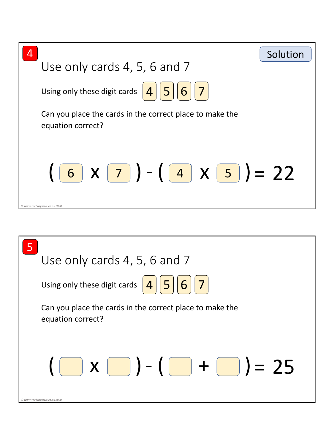

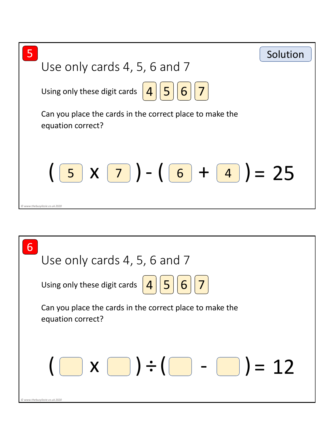